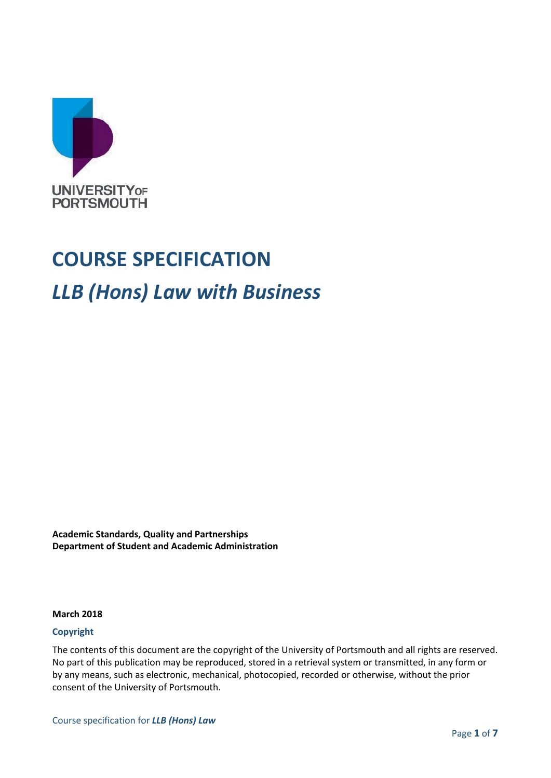

# **COURSE SPECIFICATION**

## *LLB (Hons) Law with Business*

**Academic Standards, Quality and Partnerships Department of Student and Academic Administration**

#### **March 2018**

#### **Copyright**

The contents of this document are the copyright of the University of Portsmouth and all rights are reserved. No part of this publication may be reproduced, stored in a retrieval system or transmitted, in any form or by any means, such as electronic, mechanical, photocopied, recorded or otherwise, without the prior consent of the University of Portsmouth.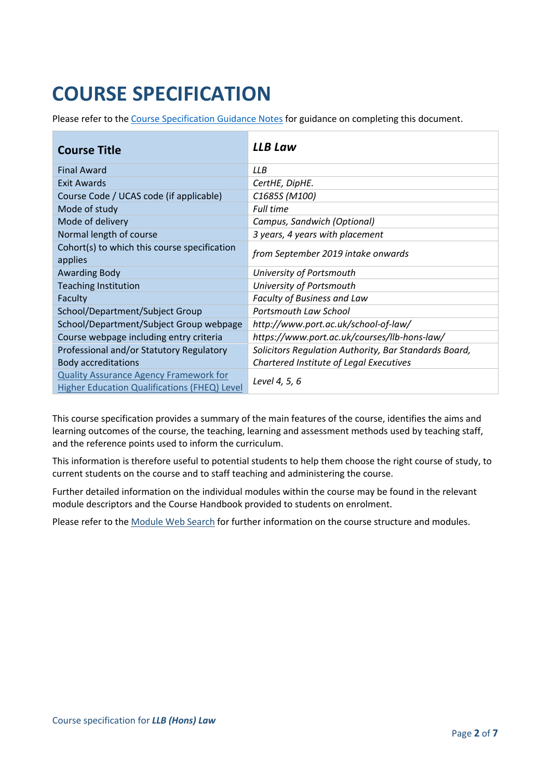## **COURSE SPECIFICATION**

Please refer to the [Course Specification Guidance Notes](http://www.port.ac.uk/departments/services/academicregistry/qmd/curriculum-framework-2019-20/filetodownload,201767,en.docx) for guidance on completing this document.

| <b>Course Title</b>                                     | <b>LLB Law</b>                                        |  |
|---------------------------------------------------------|-------------------------------------------------------|--|
| <b>Final Award</b>                                      | LLB                                                   |  |
| Exit Awards                                             | CertHE, DipHE.                                        |  |
| Course Code / UCAS code (if applicable)                 | C1685S (M100)                                         |  |
| Mode of study                                           | <b>Full time</b>                                      |  |
| Mode of delivery                                        | Campus, Sandwich (Optional)                           |  |
| Normal length of course                                 | 3 years, 4 years with placement                       |  |
| Cohort(s) to which this course specification<br>applies | from September 2019 intake onwards                    |  |
| <b>Awarding Body</b>                                    | University of Portsmouth                              |  |
| <b>Teaching Institution</b>                             | University of Portsmouth                              |  |
| Faculty                                                 | Faculty of Business and Law                           |  |
| School/Department/Subject Group                         | Portsmouth Law School                                 |  |
| School/Department/Subject Group webpage                 | http://www.port.ac.uk/school-of-law/                  |  |
| Course webpage including entry criteria                 | https://www.port.ac.uk/courses/llb-hons-law/          |  |
| Professional and/or Statutory Regulatory                | Solicitors Regulation Authority, Bar Standards Board, |  |
| <b>Body accreditations</b>                              | Chartered Institute of Legal Executives               |  |
| <b>Quality Assurance Agency Framework for</b>           |                                                       |  |
| Higher Education Qualifications (FHEQ) Level            | Level 4, 5, 6                                         |  |

This course specification provides a summary of the main features of the course, identifies the aims and learning outcomes of the course, the teaching, learning and assessment methods used by teaching staff, and the reference points used to inform the curriculum.

This information is therefore useful to potential students to help them choose the right course of study, to current students on the course and to staff teaching and administering the course.

Further detailed information on the individual modules within the course may be found in the relevant module descriptors and the Course Handbook provided to students on enrolment.

Please refer to the [Module Web Search](https://register.port.ac.uk/ords/f?p=111:1:0:::::) for further information on the course structure and modules.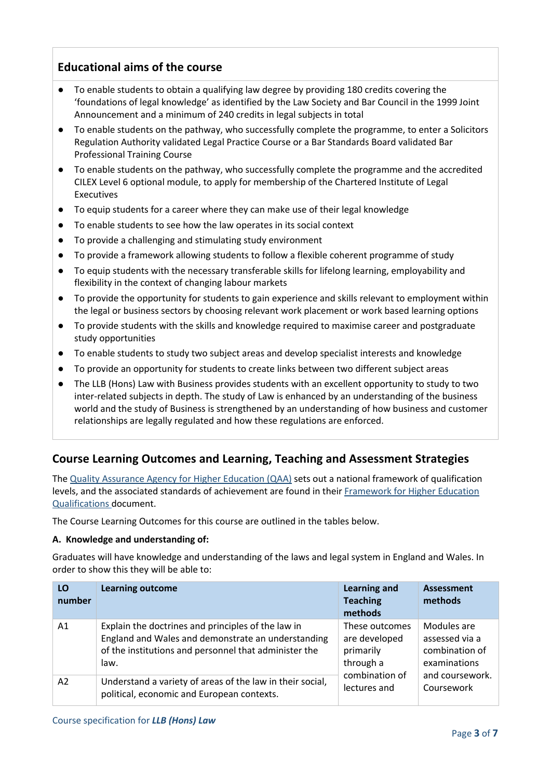## **Educational aims of the course**

- To enable students to obtain a qualifying law degree by providing 180 credits covering the 'foundations of legal knowledge' as identified by the Law Society and Bar Council in the 1999 Joint Announcement and a minimum of 240 credits in legal subjects in total
- To enable students on the pathway, who successfully complete the programme, to enter a Solicitors Regulation Authority validated Legal Practice Course or a Bar Standards Board validated Bar Professional Training Course
- To enable students on the pathway, who successfully complete the programme and the accredited CILEX Level 6 optional module, to apply for membership of the Chartered Institute of Legal Executives
- To equip students for a career where they can make use of their legal knowledge
- To enable students to see how the law operates in its social context
- To provide a challenging and stimulating study environment
- To provide a framework allowing students to follow a flexible coherent programme of study
- To equip students with the necessary transferable skills for lifelong learning, employability and flexibility in the context of changing labour markets
- To provide the opportunity for students to gain experience and skills relevant to employment within the legal or business sectors by choosing relevant work placement or work based learning options
- To provide students with the skills and knowledge required to maximise career and postgraduate study opportunities
- To enable students to study two subject areas and develop specialist interests and knowledge
- To provide an opportunity for students to create links between two different subject areas
- The LLB (Hons) Law with Business provides students with an excellent opportunity to study to two inter-related subjects in depth. The study of Law is enhanced by an understanding of the business world and the study of Business is strengthened by an understanding of how business and customer relationships are legally regulated and how these regulations are enforced.

## **Course Learning Outcomes and Learning, Teaching and Assessment Strategies**

The [Quality Assurance Agency for Higher Education \(QAA\)](http://www.qaa.ac.uk/en) sets out a national framework of qualification levels, and the associated standards of achievement are found in their [Framework for Higher Education](http://www.qaa.ac.uk/en/Publications/Documents/qualifications-frameworks.pdf)  [Qualifications](http://www.qaa.ac.uk/en/Publications/Documents/qualifications-frameworks.pdf) document.

The Course Learning Outcomes for this course are outlined in the tables below.

#### **A. Knowledge and understanding of:**

Graduates will have knowledge and understanding of the laws and legal system in England and Wales. In order to show this they will be able to:

| LO<br>number   | <b>Learning outcome</b>                                   | <b>Learning and</b><br><b>Teaching</b><br>methods | <b>Assessment</b><br>methods |
|----------------|-----------------------------------------------------------|---------------------------------------------------|------------------------------|
| A1             | Explain the doctrines and principles of the law in        | These outcomes                                    | Modules are                  |
|                | England and Wales and demonstrate an understanding        | are developed                                     | assessed via a               |
|                | of the institutions and personnel that administer the     | primarily                                         | combination of               |
|                | law.                                                      | through a                                         | examinations                 |
| A <sub>2</sub> | Understand a variety of areas of the law in their social, | combination of                                    | and coursework.              |
|                | political, economic and European contexts.                | lectures and                                      | Coursework                   |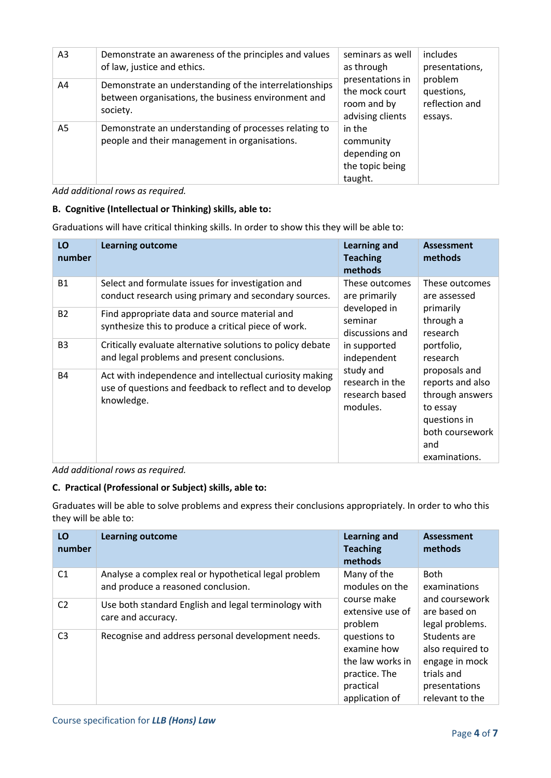| A <sub>3</sub> | Demonstrate an awareness of the principles and values<br>of law, justice and ethics.                                      | seminars as well<br>as through<br>presentations in<br>the mock court<br>room and by<br>advising clients<br>in the<br>community<br>depending on<br>the topic being<br>taught. | includes<br>presentations,<br>problem<br>questions,<br>reflection and<br>essays. |
|----------------|---------------------------------------------------------------------------------------------------------------------------|------------------------------------------------------------------------------------------------------------------------------------------------------------------------------|----------------------------------------------------------------------------------|
| A4             | Demonstrate an understanding of the interrelationships<br>between organisations, the business environment and<br>society. |                                                                                                                                                                              |                                                                                  |
| A5             | Demonstrate an understanding of processes relating to<br>people and their management in organisations.                    |                                                                                                                                                                              |                                                                                  |

*Add additional rows as required.*

#### **B. Cognitive (Intellectual or Thinking) skills, able to:**

Graduations will have critical thinking skills. In order to show this they will be able to:

| LO<br>number   | <b>Learning outcome</b>                                                                                                          | <b>Learning and</b><br><b>Teaching</b><br>methods          | <b>Assessment</b><br>methods                                                                                                |
|----------------|----------------------------------------------------------------------------------------------------------------------------------|------------------------------------------------------------|-----------------------------------------------------------------------------------------------------------------------------|
| <b>B1</b>      | Select and formulate issues for investigation and<br>conduct research using primary and secondary sources.                       | These outcomes<br>are primarily                            | These outcomes<br>are assessed                                                                                              |
| <b>B2</b>      | Find appropriate data and source material and<br>synthesize this to produce a critical piece of work.                            | developed in<br>seminar<br>discussions and                 | primarily<br>through a<br>research                                                                                          |
| B <sub>3</sub> | Critically evaluate alternative solutions to policy debate<br>and legal problems and present conclusions.                        | in supported<br>independent                                | portfolio,<br>research                                                                                                      |
| <b>B4</b>      | Act with independence and intellectual curiosity making<br>use of questions and feedback to reflect and to develop<br>knowledge. | study and<br>research in the<br>research based<br>modules. | proposals and<br>reports and also<br>through answers<br>to essay<br>questions in<br>both coursework<br>and<br>examinations. |

*Add additional rows as required.*

#### **C. Practical (Professional or Subject) skills, able to:**

Graduates will be able to solve problems and express their conclusions appropriately. In order to who this they will be able to:

| LO<br>number   | <b>Learning outcome</b>                                                                    | <b>Learning and</b><br><b>Teaching</b><br>methods                                               | Assessment<br>methods                                                                                |
|----------------|--------------------------------------------------------------------------------------------|-------------------------------------------------------------------------------------------------|------------------------------------------------------------------------------------------------------|
| C1             | Analyse a complex real or hypothetical legal problem<br>and produce a reasoned conclusion. | Many of the<br>modules on the                                                                   | <b>Both</b><br>examinations                                                                          |
| C <sub>2</sub> | Use both standard English and legal terminology with<br>care and accuracy.                 | course make<br>extensive use of<br>problem                                                      | and coursework<br>are based on<br>legal problems.                                                    |
| C <sub>3</sub> | Recognise and address personal development needs.                                          | questions to<br>examine how<br>the law works in<br>practice. The<br>practical<br>application of | Students are<br>also required to<br>engage in mock<br>trials and<br>presentations<br>relevant to the |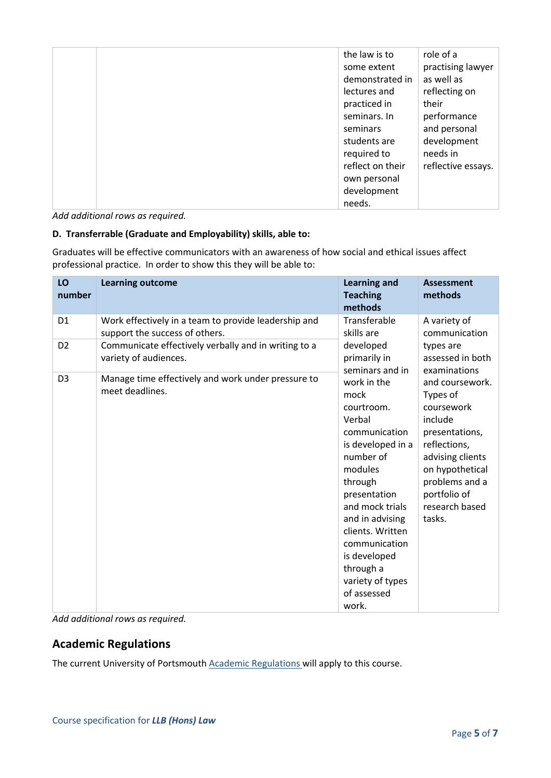| the law is to    | role of a          |
|------------------|--------------------|
| some extent      | practising lawyer  |
| demonstrated in  | as well as         |
| lectures and     | reflecting on      |
| practiced in     | their              |
| seminars. In     | performance        |
| seminars         | and personal       |
| students are     | development        |
| required to      | needs in           |
| reflect on their | reflective essays. |
| own personal     |                    |
| development      |                    |
| needs.           |                    |

*Add additional rows as required.*

#### **D. Transferrable (Graduate and Employability) skills, able to:**

Graduates will be effective communicators with an awareness of how social and ethical issues affect professional practice. In order to show this they will be able to:

| LO<br>number   | <b>Learning outcome</b>                                                                | <b>Learning and</b><br><b>Teaching</b><br>methods                                                                                                                                                                                                                                        | <b>Assessment</b><br>methods                                                                                                                                                                |
|----------------|----------------------------------------------------------------------------------------|------------------------------------------------------------------------------------------------------------------------------------------------------------------------------------------------------------------------------------------------------------------------------------------|---------------------------------------------------------------------------------------------------------------------------------------------------------------------------------------------|
| D <sub>1</sub> | Work effectively in a team to provide leadership and<br>support the success of others. | Transferable<br>skills are                                                                                                                                                                                                                                                               | A variety of<br>communication                                                                                                                                                               |
| D <sub>2</sub> | Communicate effectively verbally and in writing to a<br>variety of audiences.          | developed<br>primarily in<br>seminars and in                                                                                                                                                                                                                                             | types are<br>assessed in both<br>examinations                                                                                                                                               |
| D <sub>3</sub> | Manage time effectively and work under pressure to<br>meet deadlines.                  | work in the<br>mock<br>courtroom.<br>Verbal<br>communication<br>is developed in a<br>number of<br>modules<br>through<br>presentation<br>and mock trials<br>and in advising<br>clients. Written<br>communication<br>is developed<br>through a<br>variety of types<br>of assessed<br>work. | and coursework.<br>Types of<br>coursework<br>include<br>presentations,<br>reflections,<br>advising clients<br>on hypothetical<br>problems and a<br>portfolio of<br>research based<br>tasks. |

*Add additional rows as required.*

## **Academic Regulations**

The current University of Portsmouth [Academic Regulations](http://www.port.ac.uk/departments/services/academicregistry/qmd/assessmentandregulations/) will apply to this course.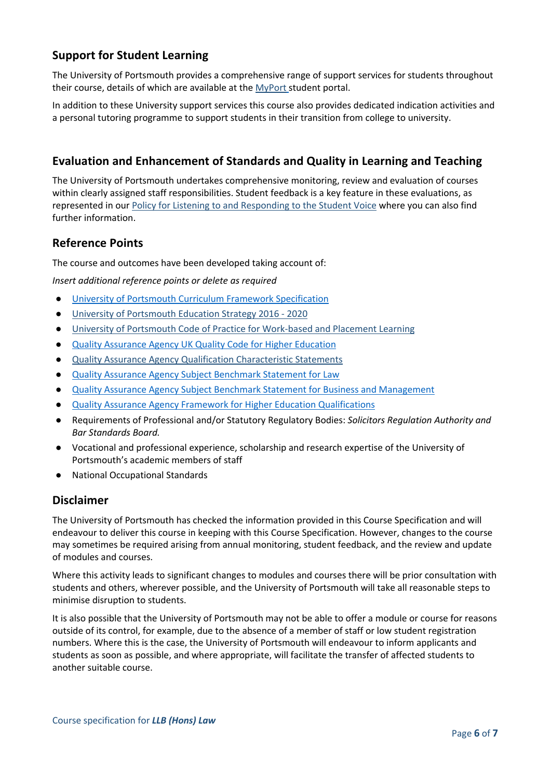## **Support for Student Learning**

The University of Portsmouth provides a comprehensive range of support services for students throughout their course, details of which are available at the [MyPort](http://myport.ac.uk/) student portal.

In addition to these University support services this course also provides dedicated indication activities and a personal tutoring programme to support students in their transition from college to university.

## **Evaluation and Enhancement of Standards and Quality in Learning and Teaching**

The University of Portsmouth undertakes comprehensive monitoring, review and evaluation of courses within clearly assigned staff responsibilities. Student feedback is a key feature in these evaluations, as represented in our [Policy for Listening to and Responding](http://policies.docstore.port.ac.uk/policy-069.pdf) to the Student Voice where you can also find further information.

#### **Reference Points**

The course and outcomes have been developed taking account of:

*Insert additional reference points or delete as required*

- [University of Portsmouth Curriculum Framework Specification](http://www.port.ac.uk/departments/services/academicregistry/qmd/curriculum-framework-2019-20/filetodownload,201776,en.pdf)
- [University of Portsmouth Education Strategy 2016 -](http://policies.docstore.port.ac.uk/policy-187.pdf) 2020
- [University of Portsmouth Code of Practice for Work-based and Placement Learning](http://policies.docstore.port.ac.uk/policy-151.pdf)
- [Quality Assurance Agency UK Quality Code for Higher Education](http://www.qaa.ac.uk/assuring-standards-and-quality/the-quality-code/)
- [Quality Assurance Agency Qualification Characteristic Statements](http://www.qaa.ac.uk/assuring-standards-and-quality/the-quality-code/characteristics-statements)
- [Quality Assurance Agency Subject Benchmark Statement for Law](http://www.qaa.ac.uk/quality-code/subject-benchmark-statements?indexCatalogue=document-search&searchQuery=law&wordsMode=AllWords)
- [Quality Assurance Agency Subject Benchmark Statement for Business and Management](http://www.qaa.ac.uk/docs/qaa/subject-benchmark-statements/sbs-business-management-15.pdf?sfvrsn=c7e1f781_10)
- **[Quality Assurance Agency Framework for Higher Education Qualifications](http://www.qaa.ac.uk/en/Publications/Documents/qualifications-frameworks.pdf)**
- Requirements of Professional and/or Statutory Regulatory Bodies: *Solicitors Regulation Authority and Bar Standards Board.*
- Vocational and professional experience, scholarship and research expertise of the University of Portsmouth's academic members of staff
- **National Occupational Standards**

#### **Disclaimer**

The University of Portsmouth has checked the information provided in this Course Specification and will endeavour to deliver this course in keeping with this Course Specification. However, changes to the course may sometimes be required arising from annual monitoring, student feedback, and the review and update of modules and courses.

Where this activity leads to significant changes to modules and courses there will be prior consultation with students and others, wherever possible, and the University of Portsmouth will take all reasonable steps to minimise disruption to students.

It is also possible that the University of Portsmouth may not be able to offer a module or course for reasons outside of its control, for example, due to the absence of a member of staff or low student registration numbers. Where this is the case, the University of Portsmouth will endeavour to inform applicants and students as soon as possible, and where appropriate, will facilitate the transfer of affected students to another suitable course.